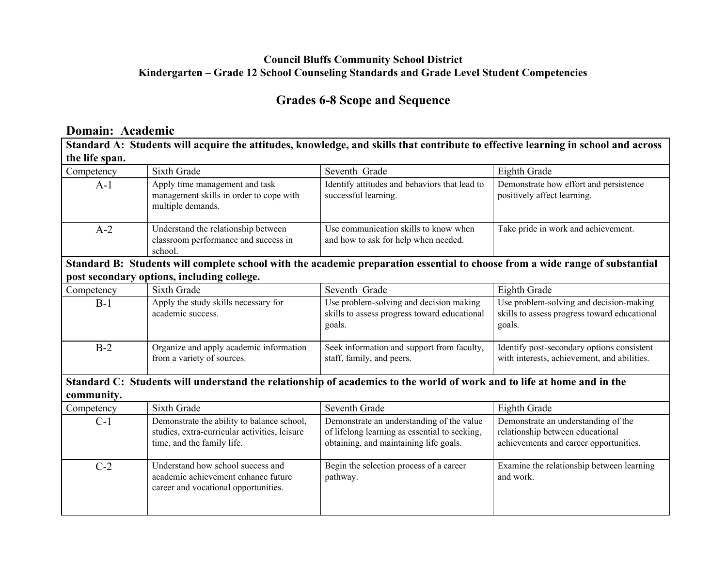#### **Council Bluffs Community School District Kindergarten – Grade 12 School Counseling Standards and Grade Level Student Competencies**

## **Grades 6-8 Scope and Sequence**

## **Domain: Academic**

| Standard A: Students will acquire the attitudes, knowledge, and skills that contribute to effective learning in school and across |                                                                                                                           |                                                                                                                                      |                                                                                                                   |  |  |  |
|-----------------------------------------------------------------------------------------------------------------------------------|---------------------------------------------------------------------------------------------------------------------------|--------------------------------------------------------------------------------------------------------------------------------------|-------------------------------------------------------------------------------------------------------------------|--|--|--|
| the life span.                                                                                                                    |                                                                                                                           |                                                                                                                                      |                                                                                                                   |  |  |  |
| Competency                                                                                                                        | Sixth Grade                                                                                                               | Seventh Grade                                                                                                                        | Eighth Grade                                                                                                      |  |  |  |
| $A-1$                                                                                                                             | Apply time management and task<br>management skills in order to cope with<br>multiple demands.                            | Identify attitudes and behaviors that lead to<br>successful learning.                                                                | Demonstrate how effort and persistence<br>positively affect learning.                                             |  |  |  |
| $A-2$                                                                                                                             | Understand the relationship between<br>classroom performance and success in<br>school.                                    | Use communication skills to know when<br>and how to ask for help when needed.                                                        | Take pride in work and achievement.                                                                               |  |  |  |
| Standard B: Students will complete school with the academic preparation essential to choose from a wide range of substantial      |                                                                                                                           |                                                                                                                                      |                                                                                                                   |  |  |  |
| post secondary options, including college.                                                                                        |                                                                                                                           |                                                                                                                                      |                                                                                                                   |  |  |  |
| Competency                                                                                                                        | Sixth Grade                                                                                                               | Seventh Grade                                                                                                                        | Eighth Grade                                                                                                      |  |  |  |
| $B-1$                                                                                                                             | Apply the study skills necessary for<br>academic success.                                                                 | Use problem-solving and decision making<br>skills to assess progress toward educational<br>goals.                                    | Use problem-solving and decision-making<br>skills to assess progress toward educational<br>goals.                 |  |  |  |
| $B-2$                                                                                                                             | Organize and apply academic information<br>from a variety of sources.                                                     | Seek information and support from faculty,<br>staff, family, and peers.                                                              | Identify post-secondary options consistent<br>with interests, achievement, and abilities.                         |  |  |  |
| Standard C: Students will understand the relationship of academics to the world of work and to life at home and in the            |                                                                                                                           |                                                                                                                                      |                                                                                                                   |  |  |  |
| community.                                                                                                                        |                                                                                                                           |                                                                                                                                      |                                                                                                                   |  |  |  |
| Competency                                                                                                                        | Sixth Grade                                                                                                               | Seventh Grade                                                                                                                        | Eighth Grade                                                                                                      |  |  |  |
| $C-1$                                                                                                                             | Demonstrate the ability to balance school,<br>studies, extra-curricular activities, leisure<br>time, and the family life. | Demonstrate an understanding of the value<br>of lifelong learning as essential to seeking,<br>obtaining, and maintaining life goals. | Demonstrate an understanding of the<br>relationship between educational<br>achievements and career opportunities. |  |  |  |
| $C-2$                                                                                                                             | Understand how school success and<br>academic achievement enhance future<br>career and vocational opportunities.          | Begin the selection process of a career<br>pathway.                                                                                  | Examine the relationship between learning<br>and work.                                                            |  |  |  |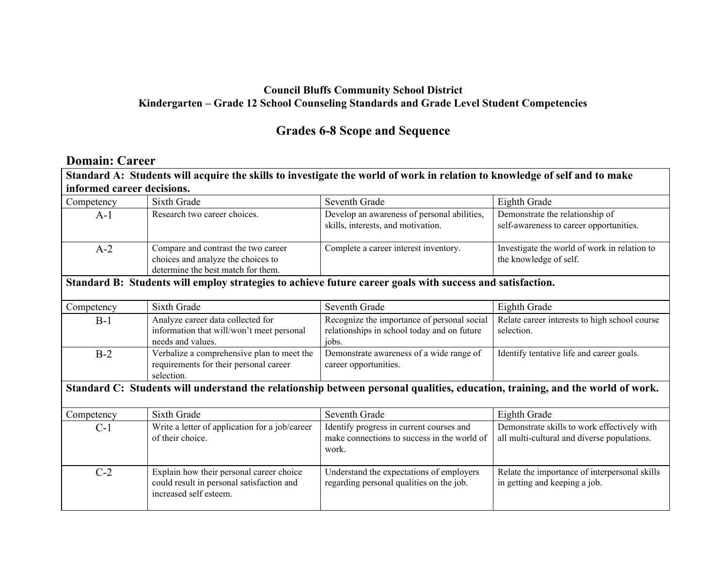### **Council Bluffs Community School District Kindergarten – Grade 12 School Counseling Standards and Grade Level Student Competencies**

## **Grades 6-8 Scope and Sequence**

#### **Domain: Career**

| Standard A: Students will acquire the skills to investigate the world of work in relation to knowledge of self and to make    |                                                                                                                 |                                                                                                     |                                                                                            |  |  |  |
|-------------------------------------------------------------------------------------------------------------------------------|-----------------------------------------------------------------------------------------------------------------|-----------------------------------------------------------------------------------------------------|--------------------------------------------------------------------------------------------|--|--|--|
| informed career decisions.                                                                                                    |                                                                                                                 |                                                                                                     |                                                                                            |  |  |  |
| Competency                                                                                                                    | Sixth Grade                                                                                                     | Seventh Grade                                                                                       | Eighth Grade                                                                               |  |  |  |
| $A-1$                                                                                                                         | Research two career choices.                                                                                    | Develop an awareness of personal abilities,<br>skills, interests, and motivation.                   | Demonstrate the relationship of<br>self-awareness to career opportunities.                 |  |  |  |
| $A-2$                                                                                                                         | Compare and contrast the two career<br>choices and analyze the choices to<br>determine the best match for them. | Complete a career interest inventory.                                                               | Investigate the world of work in relation to<br>the knowledge of self.                     |  |  |  |
| Standard B: Students will employ strategies to achieve future career goals with success and satisfaction.                     |                                                                                                                 |                                                                                                     |                                                                                            |  |  |  |
| Competency                                                                                                                    | Sixth Grade                                                                                                     | Seventh Grade                                                                                       | Eighth Grade                                                                               |  |  |  |
| $B-1$                                                                                                                         | Analyze career data collected for<br>information that will/won't meet personal<br>needs and values.             | Recognize the importance of personal social<br>relationships in school today and on future<br>jobs. | Relate career interests to high school course<br>selection.                                |  |  |  |
| $B-2$                                                                                                                         | Verbalize a comprehensive plan to meet the<br>requirements for their personal career<br>selection.              | Demonstrate awareness of a wide range of<br>career opportunities.                                   | Identify tentative life and career goals.                                                  |  |  |  |
| Standard C: Students will understand the relationship between personal qualities, education, training, and the world of work. |                                                                                                                 |                                                                                                     |                                                                                            |  |  |  |
| Competency                                                                                                                    | Sixth Grade                                                                                                     | Seventh Grade                                                                                       | Eighth Grade                                                                               |  |  |  |
| $C-1$                                                                                                                         | Write a letter of application for a job/career<br>of their choice.                                              | Identify progress in current courses and<br>make connections to success in the world of<br>work.    | Demonstrate skills to work effectively with<br>all multi-cultural and diverse populations. |  |  |  |
| $C-2$                                                                                                                         | Explain how their personal career choice<br>could result in personal satisfaction and<br>increased self esteem. | Understand the expectations of employers<br>regarding personal qualities on the job.                | Relate the importance of interpersonal skills<br>in getting and keeping a job.             |  |  |  |